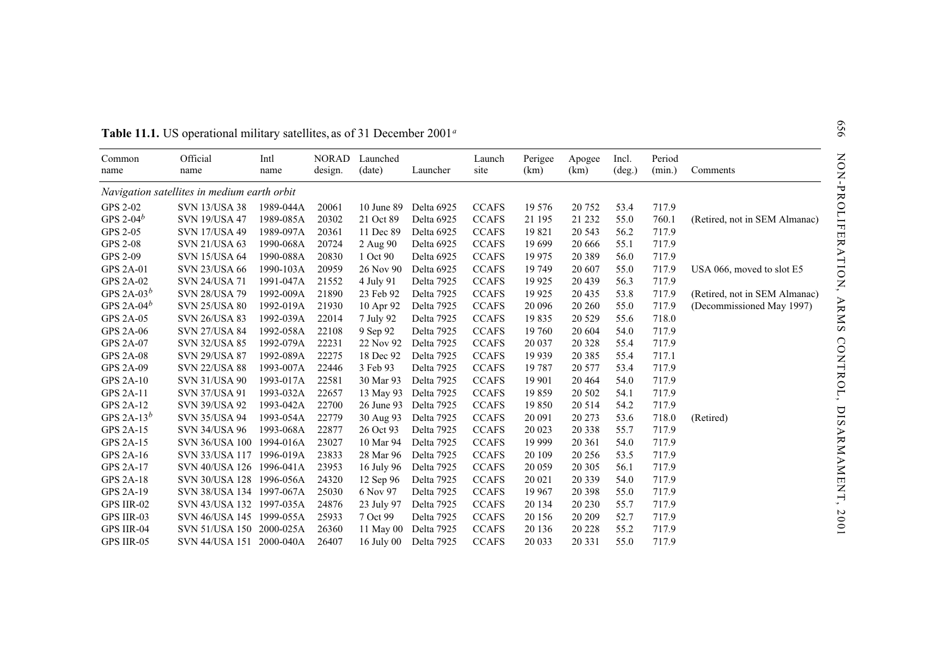| Official<br><b>NORAD</b><br>Period<br>Intl<br>Launched<br>Perigee<br>Incl.<br>Common<br>Launch<br>Apogee<br>(data)<br>Launcher<br>(km)<br>(deg.)<br>(min.)<br>Comments<br>design.<br>site<br>(km)<br>name<br>name<br>name<br>Navigation satellites in medium earth orbit<br><b>GPS 2-02</b><br><b>CCAFS</b><br>19 576<br>717.9<br><b>SVN 13/USA 38</b><br>1989-044A<br>20061<br>10 June 89<br>Delta 6925<br>20 752<br>53.4<br>GPS 2-04 $^b$<br><b>SVN 19/USA 47</b><br>1989-085A<br>20302<br>21 Oct 89<br>Delta 6925<br><b>CCAFS</b><br>21 195<br>21 232<br>55.0<br>760.1<br><b>GPS 2-05</b><br>20361<br><b>SVN 17/USA 49</b><br>1989-097A<br>11 Dec 89<br>Delta 6925<br><b>CCAFS</b><br>19821<br>20 5 43<br>56.2<br>717.9<br><b>GPS 2-08</b><br><b>SVN 21/USA 63</b><br>20724<br>Delta 6925<br><b>CCAFS</b><br>19 699<br>717.9<br>1990-068A<br>2 Aug 90<br>20 6 6 6<br>55.1<br><b>GPS 2-09</b><br>20830<br><b>CCAFS</b><br>19 9 75<br>717.9<br><b>SVN 15/USA 64</b><br>1990-088A<br>1 Oct 90<br>Delta 6925<br>20 3 8 9<br>56.0<br><b>GPS 2A-01</b><br>1990-103A<br>20959<br>26 Nov 90<br><b>CCAFS</b><br>19 749<br>717.9<br><b>SVN 23/USA 66</b><br>Delta 6925<br>20 607<br>55.0<br><b>GPS 2A-02</b><br>21552<br>4 July 91<br><b>CCAFS</b><br>19 9 25<br>56.3<br>717.9<br><b>SVN 24/USA 71</b><br>1991-047A<br>Delta 7925<br>20 439<br>GPS 2A-03 $^b$<br>21890<br>19 9 25<br>53.8<br>717.9<br><b>SVN 28/USA 79</b><br>1992-009A<br>23 Feb 92<br>Delta 7925<br><b>CCAFS</b><br>20 4 35<br>GPS 2A-04 $^b$<br><b>SVN 25/USA 80</b><br>1992-019A<br>21930<br>Delta 7925<br><b>CCAFS</b><br>20 09 6<br>717.9<br>10 Apr 92<br>20 260<br>55.0<br><b>GPS 2A-05</b><br><b>SVN 26/USA 83</b><br>1992-039A<br>22014<br>7 July 92<br>Delta 7925<br><b>CCAFS</b><br>19835<br>718.0<br>20 5 29<br>55.6<br><b>GPS 2A-06</b><br>22108<br>9 Sep 92<br>Delta 7925<br><b>CCAFS</b><br>19 760<br>20 604<br>54.0<br>717.9<br><b>SVN 27/USA 84</b><br>1992-058A<br><b>GPS 2A-07</b><br>22231<br><b>CCAFS</b><br>717.9<br><b>SVN 32/USA 85</b><br>1992-079A<br>22 Nov 92<br>Delta 7925<br>20 037<br>20 328<br>55.4<br>22275<br><b>CCAFS</b><br>55.4<br>717.1<br><b>GPS 2A-08</b><br><b>SVN 29/USA 87</b><br>1992-089A<br>18 Dec 92<br>Delta 7925<br>19 9 39<br>20 3 8 5<br><b>GPS 2A-09</b><br>22446<br><b>CCAFS</b><br>53.4<br>717.9<br><b>SVN 22/USA 88</b><br>1993-007A<br>3 Feb 93<br>Delta 7925<br>19 7 87<br>20 577<br>22581<br><b>GPS 2A-10</b><br><b>SVN 31/USA 90</b><br>1993-017A<br>30 Mar 93<br>Delta 7925<br><b>CCAFS</b><br>19 901<br>20 4 64<br>54.0<br>717.9<br><b>GPS 2A-11</b><br><b>SVN 37/USA 91</b><br>1993-032A<br>22657<br>13 May 93<br>Delta 7925<br><b>CCAFS</b><br>19859<br>20 502<br>54.1<br>717.9<br><b>GPS 2A-12</b><br><b>SVN 39/USA 92</b><br>1993-042A<br>22700<br>26 June 93<br>Delta 7925<br><b>CCAFS</b><br>19850<br>20 5 14<br>54.2<br>717.9<br>GPS 2A-13 $^b$<br>22779<br>30 Aug 93<br><b>CCAFS</b><br><b>SVN 35/USA 94</b><br>1993-054A<br>Delta 7925<br>20 091<br>20 27 3<br>53.6<br>718.0<br>(Retired)<br><b>GPS 2A-15</b><br>22877<br><b>CCAFS</b><br>55.7<br>717.9<br><b>SVN 34/USA 96</b><br>1993-068A<br>26 Oct 93<br>Delta 7925<br>20 023<br>20 338<br><b>GPS 2A-15</b><br>SVN 36/USA 100 1994-016A<br>23027<br>10 Mar 94<br>Delta 7925<br><b>CCAFS</b><br>19 9 9 9<br>54.0<br>717.9<br>20 361<br><b>GPS 2A-16</b><br>SVN 33/USA 117 1996-019A<br>23833<br>Delta 7925<br><b>CCAFS</b><br>20 109<br>717.9<br>28 Mar 96<br>20 25 6<br>53.5<br><b>GPS 2A-17</b><br>SVN 40/USA 126 1996-041A<br>23953<br>Delta 7925<br><b>CCAFS</b><br>20 059<br>717.9<br>16 July 96<br>20 30 5<br>56.1<br><b>GPS 2A-18</b><br>20 021<br>717.9<br>SVN 30/USA 128 1996-056A<br>24320<br>12 Sep 96<br>Delta 7925<br><b>CCAFS</b><br>20 339<br>54.0<br><b>CCAFS</b><br>19 9 67<br><b>GPS 2A-19</b><br>SVN 38/USA 134 1997-067A<br>25030<br>Delta 7925<br>20 398<br>717.9<br>6 Nov 97<br>55.0<br>SVN 43/USA 132 1997-035A<br>24876<br><b>CCAFS</b><br>20 134<br>55.7<br>717.9<br>GPS IIR-02<br>23 July 97<br>Delta 7925<br>20 230<br>GPS IIR-03<br>SVN 46/USA 145 1999-055A<br>25933<br>7 Oct 99<br>Delta 7925<br><b>CCAFS</b><br>20 15 6<br>20 20 9<br>52.7<br>717.9<br>26360<br><b>CCAFS</b><br>55.2<br>717.9<br><b>GPS IIR-04</b><br>SVN 51/USA 150 2000-025A<br>11 May 00<br>Delta 7925<br>20 13 6<br>20 22 8 | Table 11.1. US operational military satellites, as of 31 December 2001 <sup>a</sup> |  |  |  |  |                               |
|------------------------------------------------------------------------------------------------------------------------------------------------------------------------------------------------------------------------------------------------------------------------------------------------------------------------------------------------------------------------------------------------------------------------------------------------------------------------------------------------------------------------------------------------------------------------------------------------------------------------------------------------------------------------------------------------------------------------------------------------------------------------------------------------------------------------------------------------------------------------------------------------------------------------------------------------------------------------------------------------------------------------------------------------------------------------------------------------------------------------------------------------------------------------------------------------------------------------------------------------------------------------------------------------------------------------------------------------------------------------------------------------------------------------------------------------------------------------------------------------------------------------------------------------------------------------------------------------------------------------------------------------------------------------------------------------------------------------------------------------------------------------------------------------------------------------------------------------------------------------------------------------------------------------------------------------------------------------------------------------------------------------------------------------------------------------------------------------------------------------------------------------------------------------------------------------------------------------------------------------------------------------------------------------------------------------------------------------------------------------------------------------------------------------------------------------------------------------------------------------------------------------------------------------------------------------------------------------------------------------------------------------------------------------------------------------------------------------------------------------------------------------------------------------------------------------------------------------------------------------------------------------------------------------------------------------------------------------------------------------------------------------------------------------------------------------------------------------------------------------------------------------------------------------------------------------------------------------------------------------------------------------------------------------------------------------------------------------------------------------------------------------------------------------------------------------------------------------------------------------------------------------------------------------------------------------------------------------------------------------------------------------------------------------------------------------------------------------------------------------------------------------------------------------------------------------------------------------------------------------------------------------------------------------------------------------------------------------------------------------------------------------------------------------------------------------------------------------------------------------------------------------------------------------------------------------------------------------------------------------------------------------------------------------------------------|-------------------------------------------------------------------------------------|--|--|--|--|-------------------------------|
|                                                                                                                                                                                                                                                                                                                                                                                                                                                                                                                                                                                                                                                                                                                                                                                                                                                                                                                                                                                                                                                                                                                                                                                                                                                                                                                                                                                                                                                                                                                                                                                                                                                                                                                                                                                                                                                                                                                                                                                                                                                                                                                                                                                                                                                                                                                                                                                                                                                                                                                                                                                                                                                                                                                                                                                                                                                                                                                                                                                                                                                                                                                                                                                                                                                                                                                                                                                                                                                                                                                                                                                                                                                                                                                                                                                                                                                                                                                                                                                                                                                                                                                                                                                                                                                                                                                  |                                                                                     |  |  |  |  |                               |
|                                                                                                                                                                                                                                                                                                                                                                                                                                                                                                                                                                                                                                                                                                                                                                                                                                                                                                                                                                                                                                                                                                                                                                                                                                                                                                                                                                                                                                                                                                                                                                                                                                                                                                                                                                                                                                                                                                                                                                                                                                                                                                                                                                                                                                                                                                                                                                                                                                                                                                                                                                                                                                                                                                                                                                                                                                                                                                                                                                                                                                                                                                                                                                                                                                                                                                                                                                                                                                                                                                                                                                                                                                                                                                                                                                                                                                                                                                                                                                                                                                                                                                                                                                                                                                                                                                                  |                                                                                     |  |  |  |  |                               |
|                                                                                                                                                                                                                                                                                                                                                                                                                                                                                                                                                                                                                                                                                                                                                                                                                                                                                                                                                                                                                                                                                                                                                                                                                                                                                                                                                                                                                                                                                                                                                                                                                                                                                                                                                                                                                                                                                                                                                                                                                                                                                                                                                                                                                                                                                                                                                                                                                                                                                                                                                                                                                                                                                                                                                                                                                                                                                                                                                                                                                                                                                                                                                                                                                                                                                                                                                                                                                                                                                                                                                                                                                                                                                                                                                                                                                                                                                                                                                                                                                                                                                                                                                                                                                                                                                                                  |                                                                                     |  |  |  |  |                               |
|                                                                                                                                                                                                                                                                                                                                                                                                                                                                                                                                                                                                                                                                                                                                                                                                                                                                                                                                                                                                                                                                                                                                                                                                                                                                                                                                                                                                                                                                                                                                                                                                                                                                                                                                                                                                                                                                                                                                                                                                                                                                                                                                                                                                                                                                                                                                                                                                                                                                                                                                                                                                                                                                                                                                                                                                                                                                                                                                                                                                                                                                                                                                                                                                                                                                                                                                                                                                                                                                                                                                                                                                                                                                                                                                                                                                                                                                                                                                                                                                                                                                                                                                                                                                                                                                                                                  |                                                                                     |  |  |  |  | (Retired, not in SEM Almanac) |
|                                                                                                                                                                                                                                                                                                                                                                                                                                                                                                                                                                                                                                                                                                                                                                                                                                                                                                                                                                                                                                                                                                                                                                                                                                                                                                                                                                                                                                                                                                                                                                                                                                                                                                                                                                                                                                                                                                                                                                                                                                                                                                                                                                                                                                                                                                                                                                                                                                                                                                                                                                                                                                                                                                                                                                                                                                                                                                                                                                                                                                                                                                                                                                                                                                                                                                                                                                                                                                                                                                                                                                                                                                                                                                                                                                                                                                                                                                                                                                                                                                                                                                                                                                                                                                                                                                                  |                                                                                     |  |  |  |  |                               |
|                                                                                                                                                                                                                                                                                                                                                                                                                                                                                                                                                                                                                                                                                                                                                                                                                                                                                                                                                                                                                                                                                                                                                                                                                                                                                                                                                                                                                                                                                                                                                                                                                                                                                                                                                                                                                                                                                                                                                                                                                                                                                                                                                                                                                                                                                                                                                                                                                                                                                                                                                                                                                                                                                                                                                                                                                                                                                                                                                                                                                                                                                                                                                                                                                                                                                                                                                                                                                                                                                                                                                                                                                                                                                                                                                                                                                                                                                                                                                                                                                                                                                                                                                                                                                                                                                                                  |                                                                                     |  |  |  |  |                               |
|                                                                                                                                                                                                                                                                                                                                                                                                                                                                                                                                                                                                                                                                                                                                                                                                                                                                                                                                                                                                                                                                                                                                                                                                                                                                                                                                                                                                                                                                                                                                                                                                                                                                                                                                                                                                                                                                                                                                                                                                                                                                                                                                                                                                                                                                                                                                                                                                                                                                                                                                                                                                                                                                                                                                                                                                                                                                                                                                                                                                                                                                                                                                                                                                                                                                                                                                                                                                                                                                                                                                                                                                                                                                                                                                                                                                                                                                                                                                                                                                                                                                                                                                                                                                                                                                                                                  |                                                                                     |  |  |  |  |                               |
|                                                                                                                                                                                                                                                                                                                                                                                                                                                                                                                                                                                                                                                                                                                                                                                                                                                                                                                                                                                                                                                                                                                                                                                                                                                                                                                                                                                                                                                                                                                                                                                                                                                                                                                                                                                                                                                                                                                                                                                                                                                                                                                                                                                                                                                                                                                                                                                                                                                                                                                                                                                                                                                                                                                                                                                                                                                                                                                                                                                                                                                                                                                                                                                                                                                                                                                                                                                                                                                                                                                                                                                                                                                                                                                                                                                                                                                                                                                                                                                                                                                                                                                                                                                                                                                                                                                  |                                                                                     |  |  |  |  | USA 066, moved to slot E5     |
|                                                                                                                                                                                                                                                                                                                                                                                                                                                                                                                                                                                                                                                                                                                                                                                                                                                                                                                                                                                                                                                                                                                                                                                                                                                                                                                                                                                                                                                                                                                                                                                                                                                                                                                                                                                                                                                                                                                                                                                                                                                                                                                                                                                                                                                                                                                                                                                                                                                                                                                                                                                                                                                                                                                                                                                                                                                                                                                                                                                                                                                                                                                                                                                                                                                                                                                                                                                                                                                                                                                                                                                                                                                                                                                                                                                                                                                                                                                                                                                                                                                                                                                                                                                                                                                                                                                  |                                                                                     |  |  |  |  |                               |
|                                                                                                                                                                                                                                                                                                                                                                                                                                                                                                                                                                                                                                                                                                                                                                                                                                                                                                                                                                                                                                                                                                                                                                                                                                                                                                                                                                                                                                                                                                                                                                                                                                                                                                                                                                                                                                                                                                                                                                                                                                                                                                                                                                                                                                                                                                                                                                                                                                                                                                                                                                                                                                                                                                                                                                                                                                                                                                                                                                                                                                                                                                                                                                                                                                                                                                                                                                                                                                                                                                                                                                                                                                                                                                                                                                                                                                                                                                                                                                                                                                                                                                                                                                                                                                                                                                                  |                                                                                     |  |  |  |  | (Retired, not in SEM Almanac) |
|                                                                                                                                                                                                                                                                                                                                                                                                                                                                                                                                                                                                                                                                                                                                                                                                                                                                                                                                                                                                                                                                                                                                                                                                                                                                                                                                                                                                                                                                                                                                                                                                                                                                                                                                                                                                                                                                                                                                                                                                                                                                                                                                                                                                                                                                                                                                                                                                                                                                                                                                                                                                                                                                                                                                                                                                                                                                                                                                                                                                                                                                                                                                                                                                                                                                                                                                                                                                                                                                                                                                                                                                                                                                                                                                                                                                                                                                                                                                                                                                                                                                                                                                                                                                                                                                                                                  |                                                                                     |  |  |  |  | (Decommissioned May 1997)     |
|                                                                                                                                                                                                                                                                                                                                                                                                                                                                                                                                                                                                                                                                                                                                                                                                                                                                                                                                                                                                                                                                                                                                                                                                                                                                                                                                                                                                                                                                                                                                                                                                                                                                                                                                                                                                                                                                                                                                                                                                                                                                                                                                                                                                                                                                                                                                                                                                                                                                                                                                                                                                                                                                                                                                                                                                                                                                                                                                                                                                                                                                                                                                                                                                                                                                                                                                                                                                                                                                                                                                                                                                                                                                                                                                                                                                                                                                                                                                                                                                                                                                                                                                                                                                                                                                                                                  |                                                                                     |  |  |  |  |                               |
|                                                                                                                                                                                                                                                                                                                                                                                                                                                                                                                                                                                                                                                                                                                                                                                                                                                                                                                                                                                                                                                                                                                                                                                                                                                                                                                                                                                                                                                                                                                                                                                                                                                                                                                                                                                                                                                                                                                                                                                                                                                                                                                                                                                                                                                                                                                                                                                                                                                                                                                                                                                                                                                                                                                                                                                                                                                                                                                                                                                                                                                                                                                                                                                                                                                                                                                                                                                                                                                                                                                                                                                                                                                                                                                                                                                                                                                                                                                                                                                                                                                                                                                                                                                                                                                                                                                  |                                                                                     |  |  |  |  |                               |
|                                                                                                                                                                                                                                                                                                                                                                                                                                                                                                                                                                                                                                                                                                                                                                                                                                                                                                                                                                                                                                                                                                                                                                                                                                                                                                                                                                                                                                                                                                                                                                                                                                                                                                                                                                                                                                                                                                                                                                                                                                                                                                                                                                                                                                                                                                                                                                                                                                                                                                                                                                                                                                                                                                                                                                                                                                                                                                                                                                                                                                                                                                                                                                                                                                                                                                                                                                                                                                                                                                                                                                                                                                                                                                                                                                                                                                                                                                                                                                                                                                                                                                                                                                                                                                                                                                                  |                                                                                     |  |  |  |  |                               |
|                                                                                                                                                                                                                                                                                                                                                                                                                                                                                                                                                                                                                                                                                                                                                                                                                                                                                                                                                                                                                                                                                                                                                                                                                                                                                                                                                                                                                                                                                                                                                                                                                                                                                                                                                                                                                                                                                                                                                                                                                                                                                                                                                                                                                                                                                                                                                                                                                                                                                                                                                                                                                                                                                                                                                                                                                                                                                                                                                                                                                                                                                                                                                                                                                                                                                                                                                                                                                                                                                                                                                                                                                                                                                                                                                                                                                                                                                                                                                                                                                                                                                                                                                                                                                                                                                                                  |                                                                                     |  |  |  |  |                               |
|                                                                                                                                                                                                                                                                                                                                                                                                                                                                                                                                                                                                                                                                                                                                                                                                                                                                                                                                                                                                                                                                                                                                                                                                                                                                                                                                                                                                                                                                                                                                                                                                                                                                                                                                                                                                                                                                                                                                                                                                                                                                                                                                                                                                                                                                                                                                                                                                                                                                                                                                                                                                                                                                                                                                                                                                                                                                                                                                                                                                                                                                                                                                                                                                                                                                                                                                                                                                                                                                                                                                                                                                                                                                                                                                                                                                                                                                                                                                                                                                                                                                                                                                                                                                                                                                                                                  |                                                                                     |  |  |  |  |                               |
|                                                                                                                                                                                                                                                                                                                                                                                                                                                                                                                                                                                                                                                                                                                                                                                                                                                                                                                                                                                                                                                                                                                                                                                                                                                                                                                                                                                                                                                                                                                                                                                                                                                                                                                                                                                                                                                                                                                                                                                                                                                                                                                                                                                                                                                                                                                                                                                                                                                                                                                                                                                                                                                                                                                                                                                                                                                                                                                                                                                                                                                                                                                                                                                                                                                                                                                                                                                                                                                                                                                                                                                                                                                                                                                                                                                                                                                                                                                                                                                                                                                                                                                                                                                                                                                                                                                  |                                                                                     |  |  |  |  |                               |
|                                                                                                                                                                                                                                                                                                                                                                                                                                                                                                                                                                                                                                                                                                                                                                                                                                                                                                                                                                                                                                                                                                                                                                                                                                                                                                                                                                                                                                                                                                                                                                                                                                                                                                                                                                                                                                                                                                                                                                                                                                                                                                                                                                                                                                                                                                                                                                                                                                                                                                                                                                                                                                                                                                                                                                                                                                                                                                                                                                                                                                                                                                                                                                                                                                                                                                                                                                                                                                                                                                                                                                                                                                                                                                                                                                                                                                                                                                                                                                                                                                                                                                                                                                                                                                                                                                                  |                                                                                     |  |  |  |  |                               |
|                                                                                                                                                                                                                                                                                                                                                                                                                                                                                                                                                                                                                                                                                                                                                                                                                                                                                                                                                                                                                                                                                                                                                                                                                                                                                                                                                                                                                                                                                                                                                                                                                                                                                                                                                                                                                                                                                                                                                                                                                                                                                                                                                                                                                                                                                                                                                                                                                                                                                                                                                                                                                                                                                                                                                                                                                                                                                                                                                                                                                                                                                                                                                                                                                                                                                                                                                                                                                                                                                                                                                                                                                                                                                                                                                                                                                                                                                                                                                                                                                                                                                                                                                                                                                                                                                                                  |                                                                                     |  |  |  |  |                               |
|                                                                                                                                                                                                                                                                                                                                                                                                                                                                                                                                                                                                                                                                                                                                                                                                                                                                                                                                                                                                                                                                                                                                                                                                                                                                                                                                                                                                                                                                                                                                                                                                                                                                                                                                                                                                                                                                                                                                                                                                                                                                                                                                                                                                                                                                                                                                                                                                                                                                                                                                                                                                                                                                                                                                                                                                                                                                                                                                                                                                                                                                                                                                                                                                                                                                                                                                                                                                                                                                                                                                                                                                                                                                                                                                                                                                                                                                                                                                                                                                                                                                                                                                                                                                                                                                                                                  |                                                                                     |  |  |  |  |                               |
|                                                                                                                                                                                                                                                                                                                                                                                                                                                                                                                                                                                                                                                                                                                                                                                                                                                                                                                                                                                                                                                                                                                                                                                                                                                                                                                                                                                                                                                                                                                                                                                                                                                                                                                                                                                                                                                                                                                                                                                                                                                                                                                                                                                                                                                                                                                                                                                                                                                                                                                                                                                                                                                                                                                                                                                                                                                                                                                                                                                                                                                                                                                                                                                                                                                                                                                                                                                                                                                                                                                                                                                                                                                                                                                                                                                                                                                                                                                                                                                                                                                                                                                                                                                                                                                                                                                  |                                                                                     |  |  |  |  |                               |
|                                                                                                                                                                                                                                                                                                                                                                                                                                                                                                                                                                                                                                                                                                                                                                                                                                                                                                                                                                                                                                                                                                                                                                                                                                                                                                                                                                                                                                                                                                                                                                                                                                                                                                                                                                                                                                                                                                                                                                                                                                                                                                                                                                                                                                                                                                                                                                                                                                                                                                                                                                                                                                                                                                                                                                                                                                                                                                                                                                                                                                                                                                                                                                                                                                                                                                                                                                                                                                                                                                                                                                                                                                                                                                                                                                                                                                                                                                                                                                                                                                                                                                                                                                                                                                                                                                                  |                                                                                     |  |  |  |  |                               |
|                                                                                                                                                                                                                                                                                                                                                                                                                                                                                                                                                                                                                                                                                                                                                                                                                                                                                                                                                                                                                                                                                                                                                                                                                                                                                                                                                                                                                                                                                                                                                                                                                                                                                                                                                                                                                                                                                                                                                                                                                                                                                                                                                                                                                                                                                                                                                                                                                                                                                                                                                                                                                                                                                                                                                                                                                                                                                                                                                                                                                                                                                                                                                                                                                                                                                                                                                                                                                                                                                                                                                                                                                                                                                                                                                                                                                                                                                                                                                                                                                                                                                                                                                                                                                                                                                                                  |                                                                                     |  |  |  |  |                               |
|                                                                                                                                                                                                                                                                                                                                                                                                                                                                                                                                                                                                                                                                                                                                                                                                                                                                                                                                                                                                                                                                                                                                                                                                                                                                                                                                                                                                                                                                                                                                                                                                                                                                                                                                                                                                                                                                                                                                                                                                                                                                                                                                                                                                                                                                                                                                                                                                                                                                                                                                                                                                                                                                                                                                                                                                                                                                                                                                                                                                                                                                                                                                                                                                                                                                                                                                                                                                                                                                                                                                                                                                                                                                                                                                                                                                                                                                                                                                                                                                                                                                                                                                                                                                                                                                                                                  |                                                                                     |  |  |  |  |                               |
|                                                                                                                                                                                                                                                                                                                                                                                                                                                                                                                                                                                                                                                                                                                                                                                                                                                                                                                                                                                                                                                                                                                                                                                                                                                                                                                                                                                                                                                                                                                                                                                                                                                                                                                                                                                                                                                                                                                                                                                                                                                                                                                                                                                                                                                                                                                                                                                                                                                                                                                                                                                                                                                                                                                                                                                                                                                                                                                                                                                                                                                                                                                                                                                                                                                                                                                                                                                                                                                                                                                                                                                                                                                                                                                                                                                                                                                                                                                                                                                                                                                                                                                                                                                                                                                                                                                  |                                                                                     |  |  |  |  |                               |
|                                                                                                                                                                                                                                                                                                                                                                                                                                                                                                                                                                                                                                                                                                                                                                                                                                                                                                                                                                                                                                                                                                                                                                                                                                                                                                                                                                                                                                                                                                                                                                                                                                                                                                                                                                                                                                                                                                                                                                                                                                                                                                                                                                                                                                                                                                                                                                                                                                                                                                                                                                                                                                                                                                                                                                                                                                                                                                                                                                                                                                                                                                                                                                                                                                                                                                                                                                                                                                                                                                                                                                                                                                                                                                                                                                                                                                                                                                                                                                                                                                                                                                                                                                                                                                                                                                                  |                                                                                     |  |  |  |  |                               |
|                                                                                                                                                                                                                                                                                                                                                                                                                                                                                                                                                                                                                                                                                                                                                                                                                                                                                                                                                                                                                                                                                                                                                                                                                                                                                                                                                                                                                                                                                                                                                                                                                                                                                                                                                                                                                                                                                                                                                                                                                                                                                                                                                                                                                                                                                                                                                                                                                                                                                                                                                                                                                                                                                                                                                                                                                                                                                                                                                                                                                                                                                                                                                                                                                                                                                                                                                                                                                                                                                                                                                                                                                                                                                                                                                                                                                                                                                                                                                                                                                                                                                                                                                                                                                                                                                                                  |                                                                                     |  |  |  |  |                               |
|                                                                                                                                                                                                                                                                                                                                                                                                                                                                                                                                                                                                                                                                                                                                                                                                                                                                                                                                                                                                                                                                                                                                                                                                                                                                                                                                                                                                                                                                                                                                                                                                                                                                                                                                                                                                                                                                                                                                                                                                                                                                                                                                                                                                                                                                                                                                                                                                                                                                                                                                                                                                                                                                                                                                                                                                                                                                                                                                                                                                                                                                                                                                                                                                                                                                                                                                                                                                                                                                                                                                                                                                                                                                                                                                                                                                                                                                                                                                                                                                                                                                                                                                                                                                                                                                                                                  |                                                                                     |  |  |  |  |                               |
|                                                                                                                                                                                                                                                                                                                                                                                                                                                                                                                                                                                                                                                                                                                                                                                                                                                                                                                                                                                                                                                                                                                                                                                                                                                                                                                                                                                                                                                                                                                                                                                                                                                                                                                                                                                                                                                                                                                                                                                                                                                                                                                                                                                                                                                                                                                                                                                                                                                                                                                                                                                                                                                                                                                                                                                                                                                                                                                                                                                                                                                                                                                                                                                                                                                                                                                                                                                                                                                                                                                                                                                                                                                                                                                                                                                                                                                                                                                                                                                                                                                                                                                                                                                                                                                                                                                  |                                                                                     |  |  |  |  |                               |
| 26407<br><b>CCAFS</b><br>20 033<br>20 331<br>55.0<br>717.9<br>GPS IIR-05<br>SVN 44/USA 151 2000-040A<br>16 July 00<br>Delta 7925                                                                                                                                                                                                                                                                                                                                                                                                                                                                                                                                                                                                                                                                                                                                                                                                                                                                                                                                                                                                                                                                                                                                                                                                                                                                                                                                                                                                                                                                                                                                                                                                                                                                                                                                                                                                                                                                                                                                                                                                                                                                                                                                                                                                                                                                                                                                                                                                                                                                                                                                                                                                                                                                                                                                                                                                                                                                                                                                                                                                                                                                                                                                                                                                                                                                                                                                                                                                                                                                                                                                                                                                                                                                                                                                                                                                                                                                                                                                                                                                                                                                                                                                                                                 |                                                                                     |  |  |  |  |                               |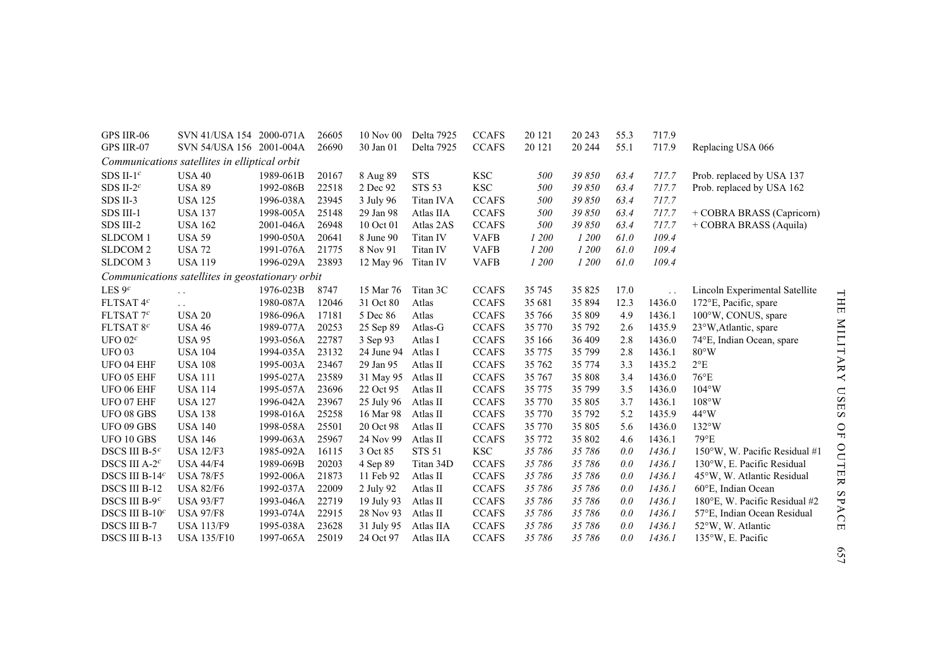| GPS IIR-06                | SVN 41/USA 154 2000-071A                         |           | 26605 | 10 Nov 00  | Delta 7925    | <b>CCAFS</b> | 20 121   | 20 24 3  | 55.3 | 717.9  |                                |
|---------------------------|--------------------------------------------------|-----------|-------|------------|---------------|--------------|----------|----------|------|--------|--------------------------------|
| GPS IIR-07                | SVN 54/USA 156 2001-004A                         |           | 26690 | 30 Jan 01  | Delta 7925    | <b>CCAFS</b> | 20 12 1  | 20 244   | 55.1 | 717.9  | Replacing USA 066              |
|                           | Communications satellites in elliptical orbit    |           |       |            |               |              |          |          |      |        |                                |
| SDS II-1 $^c$             | <b>USA 40</b>                                    | 1989-061B | 20167 | 8 Aug 89   | <b>STS</b>    | $_{\rm KSC}$ | 500      | 39 850   | 63.4 | 717.7  | Prob. replaced by USA 137      |
| SDS II-2 $c$              | <b>USA 89</b>                                    | 1992-086B | 22518 | 2 Dec 92   | <b>STS 53</b> | <b>KSC</b>   | 500      | 39 850   | 63.4 | 717.7  | Prob. replaced by USA 162      |
| SDS II-3                  | <b>USA 125</b>                                   | 1996-038A | 23945 | 3 July 96  | Titan IVA     | <b>CCAFS</b> | 500      | 39 850   | 63.4 | 717.7  |                                |
| SDS III-1                 | <b>USA 137</b>                                   | 1998-005A | 25148 | 29 Jan 98  | Atlas IIA     | <b>CCAFS</b> | 500      | 39850    | 63.4 | 717.7  | + COBRA BRASS (Capricorn)      |
| SDS III-2                 | <b>USA 162</b>                                   | 2001-046A | 26948 | 10 Oct 01  | Atlas 2AS     | <b>CCAFS</b> | 500      | 39 850   | 63.4 | 717.7  | + COBRA BRASS (Aquila)         |
| <b>SLDCOM1</b>            | <b>USA 59</b>                                    | 1990-050A | 20641 | 8 June 90  | Titan IV      | <b>VAFB</b>  | 1 200    | 1 200    | 61.0 | 109.4  |                                |
| SLDCOM <sub>2</sub>       | <b>USA 72</b>                                    | 1991-076A | 21775 | 8 Nov 91   | Titan IV      | <b>VAFB</b>  | 1 200    | 1 200    | 61.0 | 109.4  |                                |
| SLDCOM <sub>3</sub>       | <b>USA 119</b>                                   | 1996-029A | 23893 | 12 May 96  | Titan IV      | <b>VAFB</b>  | 1 200    | 1 200    | 61.0 | 109.4  |                                |
|                           | Communications satellites in geostationary orbit |           |       |            |               |              |          |          |      |        |                                |
| LES $9c$                  | $\ddot{\phantom{0}}$                             | 1976-023B | 8747  | 15 Mar 76  | Titan 3C      | <b>CCAFS</b> | 35 745   | 35 825   | 17.0 |        | Lincoln Experimental Satellite |
| FLTSAT 4 <sup>c</sup>     | $\ddotsc$                                        | 1980-087A | 12046 | 31 Oct 80  | Atlas         | <b>CCAFS</b> | 35 681   | 35 894   | 12.3 | 1436.0 | 172°E, Pacific, spare          |
| FLTSAT $7c$               | <b>USA 20</b>                                    | 1986-096A | 17181 | 5 Dec 86   | Atlas         | <b>CCAFS</b> | 35 766   | 35 809   | 4.9  | 1436.1 | 100°W, CONUS, spare            |
| FLTSAT 8 <sup>c</sup>     | <b>USA 46</b>                                    | 1989-077A | 20253 | 25 Sep 89  | Atlas-G       | <b>CCAFS</b> | 35 770   | 35 792   | 2.6  | 1435.9 | 23°W, Atlantic, spare          |
| UFO $02c$                 | <b>USA 95</b>                                    | 1993-056A | 22787 | 3 Sep 93   | Atlas I       | <b>CCAFS</b> | 35 166   | 36 409   | 2.8  | 1436.0 | 74°E, Indian Ocean, spare      |
| <b>UFO 03</b>             | <b>USA 104</b>                                   | 1994-035A | 23132 | 24 June 94 | Atlas I       | <b>CCAFS</b> | 35 7 7 5 | 35 799   | 2.8  | 1436.1 | $80^{\circ}$ W                 |
| UFO 04 EHF                | <b>USA 108</b>                                   | 1995-003A | 23467 | 29 Jan 95  | Atlas II      | <b>CCAFS</b> | 35 762   | 35 7 7 4 | 3.3  | 1435.2 | $2^{\circ}E$                   |
| UFO 05 EHF                | <b>USA 111</b>                                   | 1995-027A | 23589 | 31 May 95  | Atlas II      | <b>CCAFS</b> | 35 767   | 35 808   | 3.4  | 1436.0 | $76^{\circ}E$                  |
| UFO 06 EHF                | <b>USA 114</b>                                   | 1995-057A | 23696 | 22 Oct 95  | Atlas II      | <b>CCAFS</b> | 35 7 7 5 | 35 799   | 3.5  | 1436.0 | $104^{\circ}$ W                |
| UFO 07 EHF                | <b>USA 127</b>                                   | 1996-042A | 23967 | 25 July 96 | Atlas II      | <b>CCAFS</b> | 35 770   | 35 805   | 3.7  | 1436.1 | 108°W                          |
| <b>UFO 08 GBS</b>         | <b>USA 138</b>                                   | 1998-016A | 25258 | 16 Mar 98  | Atlas II      | <b>CCAFS</b> | 35 770   | 35 792   | 5.2  | 1435.9 | $44^{\circ}$ W                 |
| UFO 09 GBS                | <b>USA 140</b>                                   | 1998-058A | 25501 | 20 Oct 98  | Atlas II      | <b>CCAFS</b> | 35 770   | 35 805   | 5.6  | 1436.0 | $132^{\circ}$ W                |
| UFO 10 GBS                | <b>USA 146</b>                                   | 1999-063A | 25967 | 24 Nov 99  | Atlas II      | <b>CCAFS</b> | 35 772   | 35 802   | 4.6  | 1436.1 | $79^{\circ}E$                  |
| DSCS III B- $5c$          | <b>USA 12/F3</b>                                 | 1985-092A | 16115 | 3 Oct 85   | <b>STS 51</b> | $_{\rm KSC}$ | 35 786   | 35 786   | 0.0  | 1436.1 | 150°W, W. Pacific Residual #1  |
| DSCS III A-2 <sup>c</sup> | <b>USA 44/F4</b>                                 | 1989-069B | 20203 | 4 Sep 89   | Titan 34D     | <b>CCAFS</b> | 35 786   | 35 786   | 0.0  | 1436.1 | 130°W, E. Pacific Residual     |
| DSCS III B-14 $c$         | <b>USA 78/F5</b>                                 | 1992-006A | 21873 | 11 Feb 92  | Atlas II      | <b>CCAFS</b> | 35 786   | 35 786   | 0.0  | 1436.1 | 45°W, W. Atlantic Residual     |
| DSCS III B-12             | <b>USA 82/F6</b>                                 | 1992-037A | 22009 | 2 July 92  | Atlas II      | <b>CCAFS</b> | 35 786   | 35 786   | 0.0  | 1436.1 | 60°E, Indian Ocean             |
| DSCS III B-9 $^c$         | <b>USA 93/F7</b>                                 | 1993-046A | 22719 | 19 July 93 | Atlas II      | <b>CCAFS</b> | 35 786   | 35 786   | 0.0  | 1436.1 | 180°E, W. Pacific Residual #2  |
| DSCS III B- $10c$         | <b>USA 97/F8</b>                                 | 1993-074A | 22915 | 28 Nov 93  | Atlas II      | <b>CCAFS</b> | 35 786   | 35 786   | 0.0  | 1436.1 | 57°E, Indian Ocean Residual    |
| <b>DSCS III B-7</b>       | <b>USA 113/F9</b>                                | 1995-038A | 23628 | 31 July 95 | Atlas IIA     | <b>CCAFS</b> | 35 786   | 35 786   | 0.0  | 1436.1 | 52°W, W. Atlantic              |
| DSCS III B-13             | <b>USA 135/F10</b>                               | 1997-065A | 25019 | 24 Oct 97  | Atlas IIA     | <b>CCAFS</b> | 35 786   | 35 786   | 0.0  | 1436.1 | 135°W, E. Pacific              |

THE MILITARY USES OF OUTER SPACE THE MILITARY USES OF OUTER SPACE 657

657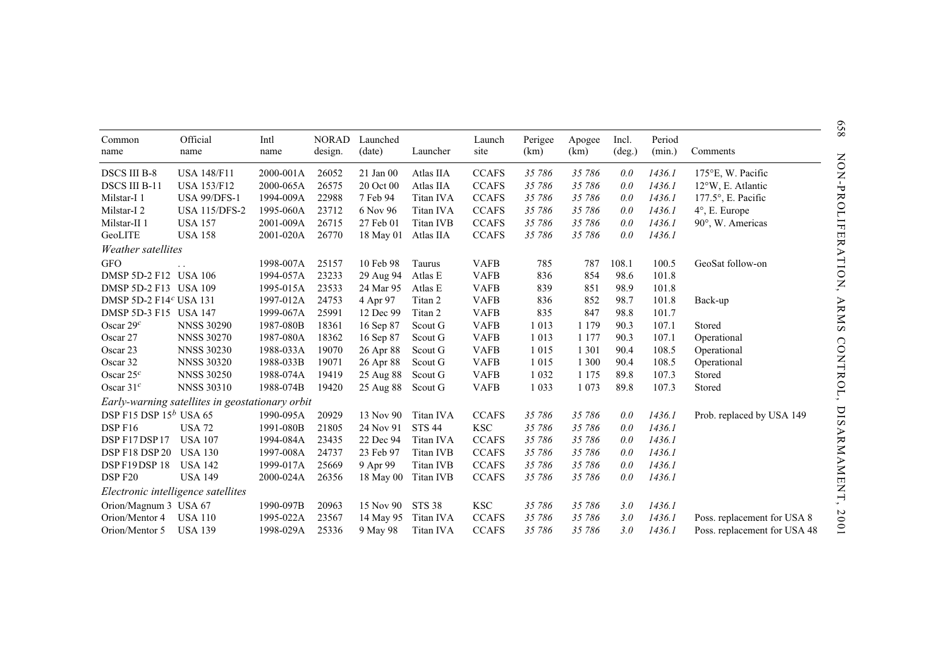|                                    | Official                                        |              | <b>NORAD</b> | Launched  |               |                |                 |                |                          | Period |                              |
|------------------------------------|-------------------------------------------------|--------------|--------------|-----------|---------------|----------------|-----------------|----------------|--------------------------|--------|------------------------------|
| Common<br>name                     | name                                            | Intl<br>name | design.      | (date)    | Launcher      | Launch<br>site | Perigee<br>(km) | Apogee<br>(km) | Incl.<br>$(\text{deg.})$ | (min.) | Comments                     |
| <b>DSCS III B-8</b>                | <b>USA 148/F11</b>                              | 2000-001A    | 26052        | 21 Jan 00 | Atlas IIA     | <b>CCAFS</b>   | 35 786          | 35 786         | 0.0                      | 1436.1 | $175^{\circ}$ E, W. Pacific  |
| <b>DSCS III B-11</b>               | <b>USA 153/F12</b>                              | 2000-065A    | 26575        | 20 Oct 00 | Atlas IIA     | <b>CCAFS</b>   | 35 786          | 35 786         | 0.0                      | 1436.1 | 12°W, E. Atlantic            |
| Milstar-I <sub>1</sub>             | <b>USA 99/DFS-1</b>                             | 1994-009A    | 22988        | 7 Feb 94  | Titan IVA     | <b>CCAFS</b>   | 35 786          | 35 786         | 0.0                      | 1436.1 | 177.5°, E. Pacific           |
| Milstar-I <sub>2</sub>             | <b>USA 115/DFS-2</b>                            | 1995-060A    | 23712        | 6 Nov 96  | Titan IVA     | <b>CCAFS</b>   | 35 786          | 35 786         | 0.0                      | 1436.1 | 4°, E. Europe                |
| Milstar-II <sub>1</sub>            | <b>USA 157</b>                                  | 2001-009A    | 26715        | 27 Feb 01 | Titan IVB     | <b>CCAFS</b>   | 35 786          | 35 786         | 0.0                      | 1436.1 | 90°, W. Americas             |
| GeoLITE                            | <b>USA 158</b>                                  | 2001-020A    | 26770        | 18 May 01 | Atlas IIA     | <b>CCAFS</b>   | 35 786          | 35 786         | 0.0                      | 1436.1 |                              |
| Weather satellites                 |                                                 |              |              |           |               |                |                 |                |                          |        |                              |
| <b>GFO</b>                         |                                                 | 1998-007A    | 25157        | 10 Feb 98 | Taurus        | <b>VAFB</b>    | 785             | 787            | 108.1                    | 100.5  | GeoSat follow-on             |
| DMSP 5D-2 F12 USA 106              |                                                 | 1994-057A    | 23233        | 29 Aug 94 | Atlas E       | <b>VAFB</b>    | 836             | 854            | 98.6                     | 101.8  |                              |
| DMSP 5D-2 F13 USA 109              |                                                 | 1995-015A    | 23533        | 24 Mar 95 | Atlas E       | <b>VAFB</b>    | 839             | 851            | 98.9                     | 101.8  |                              |
| DMSP 5D-2 F14 <sup>c</sup> USA 131 |                                                 | 1997-012A    | 24753        | 4 Apr 97  | Titan 2       | <b>VAFB</b>    | 836             | 852            | 98.7                     | 101.8  | Back-up                      |
| DMSP 5D-3 F15 USA 147              |                                                 | 1999-067A    | 25991        | 12 Dec 99 | Titan 2       | <b>VAFB</b>    | 835             | 847            | 98.8                     | 101.7  |                              |
| Oscar $29c$                        | <b>NNSS 30290</b>                               | 1987-080B    | 18361        | 16 Sep 87 | Scout G       | <b>VAFB</b>    | 1 0 1 3         | 1 1 7 9        | 90.3                     | 107.1  | Stored                       |
| Oscar 27                           | <b>NNSS 30270</b>                               | 1987-080A    | 18362        | 16 Sep 87 | Scout G       | <b>VAFB</b>    | 1 0 1 3         | 1 1 7 7        | 90.3                     | 107.1  | Operational                  |
| Oscar 23                           | <b>NNSS 30230</b>                               | 1988-033A    | 19070        | 26 Apr 88 | Scout G       | <b>VAFB</b>    | 1 0 1 5         | 1 3 0 1        | 90.4                     | 108.5  | Operational                  |
| Oscar 32                           | <b>NNSS 30320</b>                               | 1988-033B    | 19071        | 26 Apr 88 | Scout G       | <b>VAFB</b>    | 1 0 1 5         | 1 300          | 90.4                     | 108.5  | Operational                  |
| Oscar $25c$                        | <b>NNSS 30250</b>                               | 1988-074A    | 19419        | 25 Aug 88 | Scout G       | <b>VAFB</b>    | 1 0 3 2         | 1 1 7 5        | 89.8                     | 107.3  | Stored                       |
| Oscar $31c$                        | <b>NNSS 30310</b>                               | 1988-074B    | 19420        | 25 Aug 88 | Scout G       | <b>VAFB</b>    | 1 0 3 3         | 1 0 7 3        | 89.8                     | 107.3  | Stored                       |
|                                    | Early-warning satellites in geostationary orbit |              |              |           |               |                |                 |                |                          |        |                              |
| DSP F15 DSP $15^b$ USA 65          |                                                 | 1990-095A    | 20929        | 13 Nov 90 | Titan IVA     | <b>CCAFS</b>   | 35 786          | 35 786         | 0.0                      | 1436.1 | Prob. replaced by USA 149    |
| DSP F <sub>16</sub>                | <b>USA 72</b>                                   | 1991-080B    | 21805        | 24 Nov 91 | <b>STS 44</b> | $_{\rm KSC}$   | 35 786          | 35 786         | 0.0                      | 1436.1 |                              |
| DSP F17DSP17                       | <b>USA 107</b>                                  | 1994-084A    | 23435        | 22 Dec 94 | Titan IVA     | <b>CCAFS</b>   | 35 786          | 35 786         | 0.0                      | 1436.1 |                              |
| DSP F18 DSP 20                     | <b>USA 130</b>                                  | 1997-008A    | 24737        | 23 Feb 97 | Titan IVB     | <b>CCAFS</b>   | 35 786          | 35 786         | 0.0                      | 1436.1 |                              |
| DSPF19DSP18                        | <b>USA 142</b>                                  | 1999-017A    | 25669        | 9 Apr 99  | Titan IVB     | <b>CCAFS</b>   | 35 786          | 35 786         | 0.0                      | 1436.1 |                              |
| DSP F20                            | <b>USA 149</b>                                  | 2000-024A    | 26356        | 18 May 00 | Titan IVB     | <b>CCAFS</b>   | 35 786          | 35 786         | 0.0                      | 1436.1 |                              |
| Electronic intelligence satellites |                                                 |              |              |           |               |                |                 |                |                          |        |                              |
| Orion/Magnum 3 USA 67              |                                                 | 1990-097B    | 20963        | 15 Nov 90 | <b>STS 38</b> | <b>KSC</b>     | 35 786          | 35 786         | 3.0                      | 1436.1 |                              |
| Orion/Mentor 4                     | <b>USA 110</b>                                  | 1995-022A    | 23567        | 14 May 95 | Titan IVA     | <b>CCAFS</b>   | 35 786          | 35 786         | 3.0                      | 1436.1 | Poss. replacement for USA 8  |
| Orion/Mentor 5                     | <b>USA 139</b>                                  | 1998-029A    | 25336        | 9 May 98  | Titan IVA     | <b>CCAFS</b>   | 35 786          | 35 786         | 3.0                      | 1436.1 | Poss. replacement for USA 48 |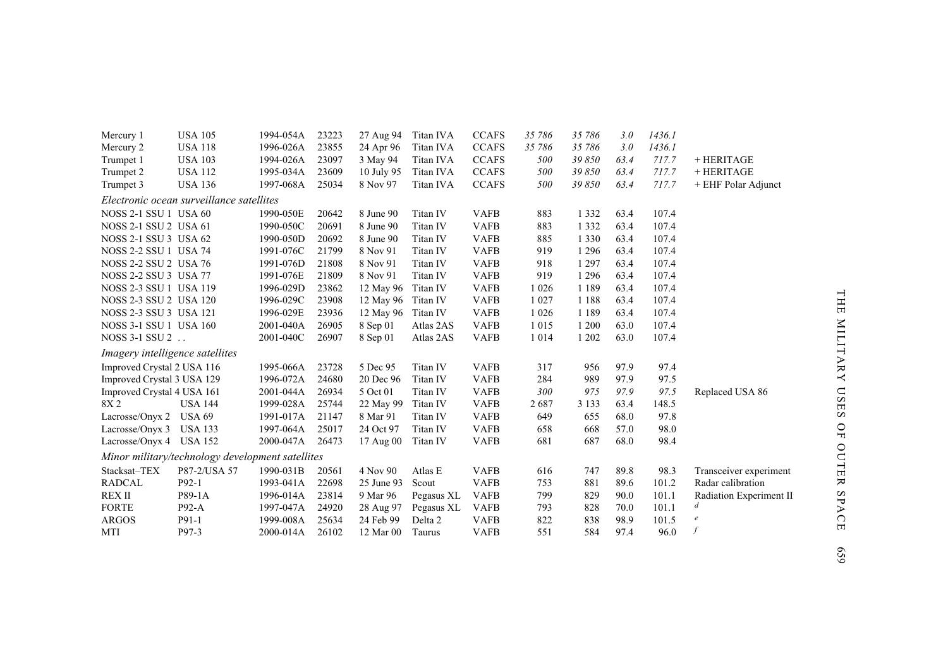| Mercury 1                       | <b>USA 105</b>                                   | 1994-054A | 23223 | 27 Aug 94  | Titan IVA  | <b>CCAFS</b> | 35 786  | 35 786  | 3.0  | 1436.1 |                         |
|---------------------------------|--------------------------------------------------|-----------|-------|------------|------------|--------------|---------|---------|------|--------|-------------------------|
| Mercury 2                       | <b>USA 118</b>                                   | 1996-026A | 23855 | 24 Apr 96  | Titan IVA  | <b>CCAFS</b> | 35 786  | 35 786  | 3.0  | 1436.1 |                         |
| Trumpet 1                       | <b>USA 103</b>                                   | 1994-026A | 23097 | 3 May 94   | Titan IVA  | <b>CCAFS</b> | 500     | 39850   | 63.4 | 717.7  | + HERITAGE              |
| Trumpet 2                       | <b>USA 112</b>                                   | 1995-034A | 23609 | 10 July 95 | Titan IVA  | <b>CCAFS</b> | 500     | 39850   | 63.4 | 717.7  | + HERITAGE              |
| Trumpet 3                       | <b>USA 136</b>                                   | 1997-068A | 25034 | 8 Nov 97   | Titan IVA  | <b>CCAFS</b> | 500     | 39850   | 63.4 | 717.7  | + EHF Polar Adjunct     |
|                                 | Electronic ocean surveillance satellites         |           |       |            |            |              |         |         |      |        |                         |
| <b>NOSS 2-1 SSU 1 USA 60</b>    |                                                  | 1990-050E | 20642 | 8 June 90  | Titan IV   | <b>VAFB</b>  | 883     | 1 3 3 2 | 63.4 | 107.4  |                         |
| <b>NOSS 2-1 SSU 2 USA 61</b>    |                                                  | 1990-050C | 20691 | 8 June 90  | Titan IV   | <b>VAFB</b>  | 883     | 1 3 3 2 | 63.4 | 107.4  |                         |
| NOSS 2-1 SSU 3 USA 62           |                                                  | 1990-050D | 20692 | 8 June 90  | Titan IV   | <b>VAFB</b>  | 885     | 1 3 3 0 | 63.4 | 107.4  |                         |
| <b>NOSS 2-2 SSU 1 USA 74</b>    |                                                  | 1991-076C | 21799 | 8 Nov 91   | Titan IV   | <b>VAFB</b>  | 919     | 1 2 9 6 | 63.4 | 107.4  |                         |
| <b>NOSS 2-2 SSU 2 USA 76</b>    |                                                  | 1991-076D | 21808 | 8 Nov 91   | Titan IV   | <b>VAFB</b>  | 918     | 1 2 9 7 | 63.4 | 107.4  |                         |
| NOSS 2-2 SSU 3 USA 77           |                                                  | 1991-076E | 21809 | 8 Nov 91   | Titan IV   | <b>VAFB</b>  | 919     | 1 2 9 6 | 63.4 | 107.4  |                         |
| <b>NOSS 2-3 SSU 1 USA 119</b>   |                                                  | 1996-029D | 23862 | 12 May 96  | Titan IV   | <b>VAFB</b>  | 1 0 2 6 | 1 1 8 9 | 63.4 | 107.4  |                         |
| NOSS 2-3 SSU 2 USA 120          |                                                  | 1996-029C | 23908 | 12 May 96  | Titan IV   | <b>VAFB</b>  | 1 0 2 7 | 1 1 8 8 | 63.4 | 107.4  |                         |
| NOSS 2-3 SSU 3 USA 121          |                                                  | 1996-029E | 23936 | 12 May 96  | Titan IV   | <b>VAFB</b>  | 1 0 2 6 | 1 1 8 9 | 63.4 | 107.4  |                         |
| <b>NOSS 3-1 SSU 1 USA 160</b>   |                                                  | 2001-040A | 26905 | 8 Sep 01   | Atlas 2AS  | <b>VAFB</b>  | 1 0 1 5 | 1 200   | 63.0 | 107.4  |                         |
| NOSS 3-1 SSU 2                  |                                                  | 2001-040C | 26907 | 8 Sep 01   | Atlas 2AS  | <b>VAFB</b>  | 1 0 1 4 | 1 202   | 63.0 | 107.4  |                         |
| Imagery intelligence satellites |                                                  |           |       |            |            |              |         |         |      |        |                         |
| Improved Crystal 2 USA 116      |                                                  | 1995-066A | 23728 | 5 Dec 95   | Titan IV   | <b>VAFB</b>  | 317     | 956     | 97.9 | 97.4   |                         |
| Improved Crystal 3 USA 129      |                                                  | 1996-072A | 24680 | 20 Dec 96  | Titan IV   | <b>VAFB</b>  | 284     | 989     | 97.9 | 97.5   |                         |
| Improved Crystal 4 USA 161      |                                                  | 2001-044A | 26934 | 5 Oct 01   | Titan IV   | <b>VAFB</b>  | 300     | 975     | 97.9 | 97.5   | Replaced USA 86         |
| 8X <sub>2</sub>                 | <b>USA 144</b>                                   | 1999-028A | 25744 | 22 May 99  | Titan IV   | <b>VAFB</b>  | 2687    | 3 1 3 3 | 63.4 | 148.5  |                         |
| Lacrosse/Onyx 2                 | <b>USA 69</b>                                    | 1991-017A | 21147 | 8 Mar 91   | Titan IV   | <b>VAFB</b>  | 649     | 655     | 68.0 | 97.8   |                         |
| Lacrosse/Onyx 3                 | <b>USA 133</b>                                   | 1997-064A | 25017 | 24 Oct 97  | Titan IV   | <b>VAFB</b>  | 658     | 668     | 57.0 | 98.0   |                         |
| Lacrosse/Onyx 4 USA 152         |                                                  | 2000-047A | 26473 | 17 Aug 00  | Titan IV   | <b>VAFB</b>  | 681     | 687     | 68.0 | 98.4   |                         |
|                                 | Minor military/technology development satellites |           |       |            |            |              |         |         |      |        |                         |
| Stacksat-TEX                    | P87-2/USA 57                                     | 1990-031B | 20561 | 4 Nov 90   | Atlas E    | <b>VAFB</b>  | 616     | 747     | 89.8 | 98.3   | Transceiver experiment  |
| <b>RADCAL</b>                   | $P92-1$                                          | 1993-041A | 22698 | 25 June 93 | Scout      | <b>VAFB</b>  | 753     | 881     | 89.6 | 101.2  | Radar calibration       |
| <b>REX II</b>                   | P89-1A                                           | 1996-014A | 23814 | 9 Mar 96   | Pegasus XL | <b>VAFB</b>  | 799     | 829     | 90.0 | 101.1  | Radiation Experiment II |
| <b>FORTE</b>                    | $P92-A$                                          | 1997-047A | 24920 | 28 Aug 97  | Pegasus XL | <b>VAFB</b>  | 793     | 828     | 70.0 | 101.1  | d                       |
| <b>ARGOS</b>                    | P91-1                                            | 1999-008A | 25634 | 24 Feb 99  | Delta 2    | <b>VAFB</b>  | 822     | 838     | 98.9 | 101.5  | $\boldsymbol{e}$        |
| MTI                             | P97-3                                            | 2000-014A | 26102 | 12 Mar 00  | Taurus     | <b>VAFB</b>  | 551     | 584     | 97.4 | 96.0   | $\mathcal{f}$           |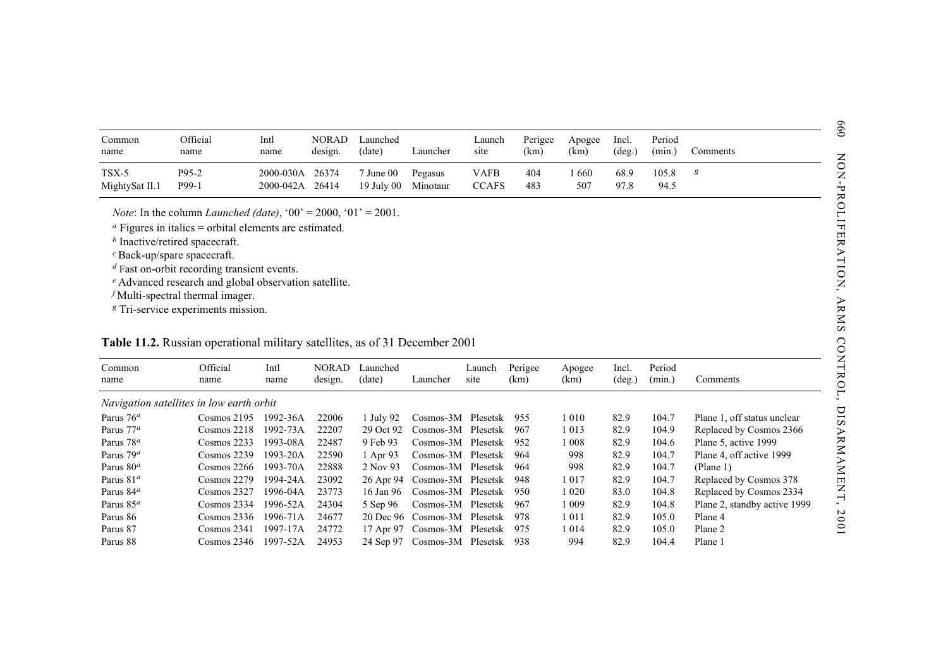| Common<br>name            | Official<br>name | Intl<br>name                       | <b>NORAD</b><br>design. | Launched<br>(date)          | Launcher            | Launch<br>site       | Perigee<br>(km) | Apogee<br>(km) | Incl.<br>$(\text{deg.})$ | Period<br>(min.) | Comments |
|---------------------------|------------------|------------------------------------|-------------------------|-----------------------------|---------------------|----------------------|-----------------|----------------|--------------------------|------------------|----------|
| $TSX-5$<br>MightySat II.1 | P95-2<br>P99-1   | 2000-030A 26374<br>2000-042A 26414 |                         | $7$ June $00$<br>19 July 00 | Pegasus<br>Minotaur | VAFB<br><b>CCAFS</b> | 404<br>483      | -660<br>507    | 68.9<br>97.8             | 105.8<br>94.5    | g        |

## **Table 11.2.** Russian operational military satellites, as of 31 December 2001

| Common<br>name                                       | Official<br>name                                                                                                                               | Intl<br>name                 | <b>NORAD</b><br>design. | Launched<br>(date)      | Launcher            | Launch<br>site              | Perigee<br>(km) | Apogee<br>(km) | Incl.<br>$(\text{deg.})$ | Period<br>(min.) | Comments                     |
|------------------------------------------------------|------------------------------------------------------------------------------------------------------------------------------------------------|------------------------------|-------------------------|-------------------------|---------------------|-----------------------------|-----------------|----------------|--------------------------|------------------|------------------------------|
| TSX-5<br>MightySat II.1                              | P95-2<br>P99-1                                                                                                                                 | 2000-030A<br>2000-042A 26414 | 26374                   | 7 June 00<br>19 July 00 | Pegasus<br>Minotaur | <b>VAFB</b><br><b>CCAFS</b> | 404<br>483      | 1660<br>507    | 68.9<br>97.8             | 105.8<br>94.5    | $\boldsymbol{g}$             |
|                                                      | <i>Note:</i> In the column <i>Launched (date)</i> , '00' = 2000, '01' = 2001.<br>$\alpha$ Figures in italics = orbital elements are estimated. |                              |                         |                         |                     |                             |                 |                |                          |                  |                              |
|                                                      | $b$ Inactive/retired spacecraft.                                                                                                               |                              |                         |                         |                     |                             |                 |                |                          |                  |                              |
|                                                      | $c$ Back-up/spare spacecraft.                                                                                                                  |                              |                         |                         |                     |                             |                 |                |                          |                  |                              |
|                                                      | $d$ Fast on-orbit recording transient events.                                                                                                  |                              |                         |                         |                     |                             |                 |                |                          |                  |                              |
|                                                      | <sup>e</sup> Advanced research and global observation satellite.                                                                               |                              |                         |                         |                     |                             |                 |                |                          |                  |                              |
|                                                      | $f$ Multi-spectral thermal imager.                                                                                                             |                              |                         |                         |                     |                             |                 |                |                          |                  |                              |
|                                                      | <sup>g</sup> Tri-service experiments mission.                                                                                                  |                              |                         |                         |                     |                             |                 |                |                          |                  |                              |
|                                                      |                                                                                                                                                |                              |                         |                         |                     |                             |                 |                |                          |                  |                              |
|                                                      |                                                                                                                                                |                              |                         |                         |                     |                             |                 |                |                          |                  |                              |
|                                                      | Table 11.2. Russian operational military satellites, as of 31 December 2001                                                                    |                              |                         |                         |                     |                             |                 |                |                          |                  |                              |
| Common                                               | Official                                                                                                                                       | Intl                         | <b>NORAD</b>            | Launched                |                     | Launch                      | Perigee         | Apogee         | Incl.                    | Period           |                              |
|                                                      | name                                                                                                                                           | name                         | design.                 | (date)                  | Launcher            | site                        | (km)            | (km)           | $(\text{deg.})$          | (min.)           | Comments                     |
| name                                                 | Navigation satellites in low earth orbit                                                                                                       |                              |                         |                         |                     |                             |                 |                |                          |                  |                              |
|                                                      | $Cosmos$ 2195                                                                                                                                  | 1992-36A                     | 22006                   | 1 July 92               | Cosmos-3M Plesetsk  |                             | 955             | 1 0 1 0        | 82.9                     | 104.7            | Plane 1, off status unclear  |
|                                                      | Cosmos 2218                                                                                                                                    | 1992-73A                     | 22207                   | 29 Oct 92               | Cosmos-3M Plesetsk  |                             | 967             | 1 0 1 3        | 82.9                     | 104.9            | Replaced by Cosmos 2366      |
| Parus $76a$<br>Parus $77^a$<br>Parus 78 <sup>a</sup> | Cosmos 2233                                                                                                                                    | 1993-08A                     | 22487                   | 9 Feb 93                | Cosmos-3M Plesetsk  |                             | 952             | 1 0 0 8        | 82.9                     | 104.6            | Plane 5, active 1999         |
| Parus 79 <sup>a</sup>                                | Cosmos 2239                                                                                                                                    | 1993-20A                     | 22590                   | 1 Apr 93                | Cosmos-3M Plesetsk  |                             | 964             | 998            | 82.9                     | 104.7            | Plane 4, off active 1999     |
|                                                      | Cosmos 2266                                                                                                                                    | 1993-70A                     | 22888                   | 2 Nov 93                | Cosmos-3M Plesetsk  |                             | 964             | 998            | 82.9                     | 104.7            | (Plane 1)                    |
| Parus $80a$<br>Parus 81 <sup>a</sup>                 | Cosmos 2279                                                                                                                                    | 1994-24A                     | 23092                   | 26 Apr 94               | Cosmos-3M Plesetsk  |                             | 948             | 1017           | 82.9                     | 104.7            | Replaced by Cosmos 378       |
| Parus $84^a$                                         | Cosmos 2327                                                                                                                                    | 1996-04A                     | 23773                   | 16 Jan 96               | Cosmos-3M Plesetsk  |                             | 950             | 1 0 2 0        | 83.0                     | 104.8            | Replaced by Cosmos 2334      |
| Parus 85 <sup>a</sup>                                | Cosmos 2334                                                                                                                                    | 1996-52A                     | 24304                   | 5 Sep 96                | Cosmos-3M Plesetsk  |                             | 967             | 1 0 0 9        | 82.9                     | 104.8            | Plane 2, standby active 1999 |
| Parus 86                                             | Cosmos 2336                                                                                                                                    | 1996-71A                     | 24677                   | 20 Dec 96               | Cosmos-3M Plesetsk  |                             | 978             | 1 0 1 1        | 82.9                     | 105.0            | Plane 4                      |
| Parus 87                                             | Cosmos 2341                                                                                                                                    | 1997-17A                     | 24772                   | 17 Apr 97               | Cosmos-3M Plesetsk  |                             | 975             | 1014           | 82.9                     | 105.0            | Plane 2                      |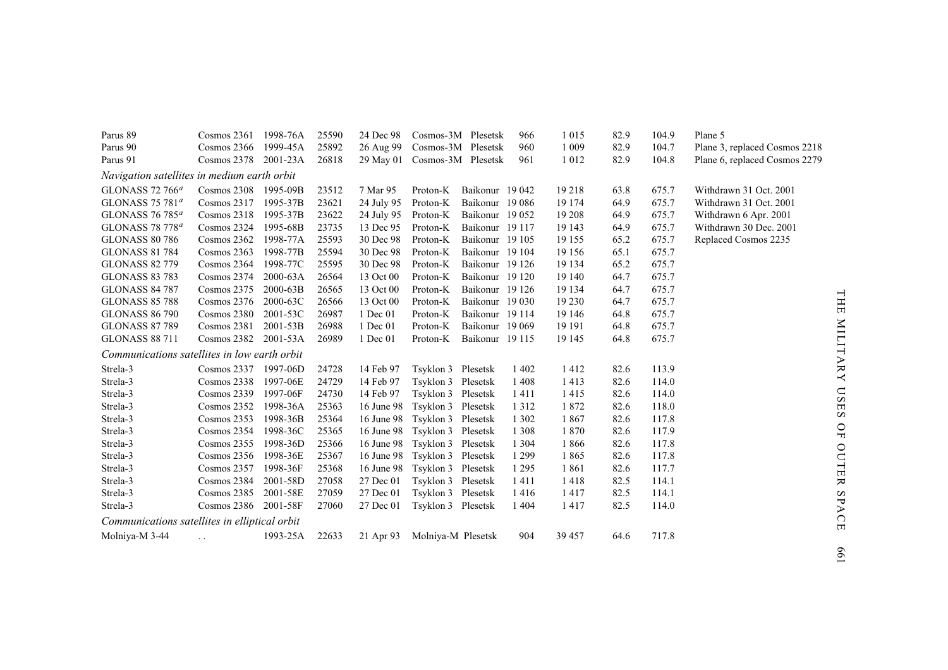| Parus 89                                      | Cosmos $2361$        | 1998-76A     | 25590 | 24 Dec 98           | Cosmos-3M Plesetsk            |                 | 966     | 1 0 1 5 | 82.9 | 104.9 | Plane 5                       |
|-----------------------------------------------|----------------------|--------------|-------|---------------------|-------------------------------|-----------------|---------|---------|------|-------|-------------------------------|
| Parus 90                                      | Cosmos 2366          | 1999-45A     | 25892 |                     | 26 Aug 99 Cosmos-3M Plesetsk  |                 | 960     | 1 0 0 9 | 82.9 | 104.7 | Plane 3, replaced Cosmos 2218 |
| Parus 91                                      | Cosmos 2378 2001-23A |              | 26818 |                     | 29 May 01 Cosmos-3M Plesetsk  |                 | 961     | 1 0 1 2 | 82.9 | 104.8 | Plane 6, replaced Cosmos 2279 |
| Navigation satellites in medium earth orbit   |                      |              |       |                     |                               |                 |         |         |      |       |                               |
| GLONASS 72 766 <sup>a</sup>                   | $Cosmos$ 2308        | 1995-09B     | 23512 | 7 Mar 95            | Proton-K                      | Baikonur 19 042 |         | 19 218  | 63.8 | 675.7 | Withdrawn 31 Oct. 2001        |
| GLONASS 75 781 <sup>a</sup>                   | Cosmos 2317          | 1995-37B     | 23621 | 24 July 95          | Proton-K                      | Baikonur 19 086 |         | 19 174  | 64.9 | 675.7 | Withdrawn 31 Oct. 2001        |
| GLONASS 76 785 <sup>a</sup>                   | Cosmos 2318          | 1995-37B     | 23622 | 24 July 95 Proton-K |                               | Baikonur 19 052 |         | 19 20 8 | 64.9 | 675.7 | Withdrawn 6 Apr. 2001         |
| GLONASS 78 778 <sup>a</sup>                   | Cosmos 2324          | 1995-68B     | 23735 | 13 Dec 95           | Proton-K                      | Baikonur 19 117 |         | 19 143  | 64.9 | 675.7 | Withdrawn 30 Dec. 2001        |
| <b>GLONASS 80 786</b>                         | Cosmos 2362          | 1998-77A     | 25593 | 30 Dec 98           | Proton-K                      | Baikonur 19 105 |         | 19 155  | 65.2 | 675.7 | Replaced Cosmos 2235          |
| <b>GLONASS 81 784</b>                         | Cosmos 2363          | 1998-77B     | 25594 | 30 Dec 98           | Proton-K                      | Baikonur 19 104 |         | 19 15 6 | 65.1 | 675.7 |                               |
| <b>GLONASS 82 779</b>                         | Cosmos 2364          | 1998-77C     | 25595 | 30 Dec 98           | Proton-K                      | Baikonur 19 126 |         | 19 134  | 65.2 | 675.7 |                               |
| <b>GLONASS 83 783</b>                         | Cosmos 2374          | 2000-63A     | 26564 | 13 Oct 00           | Proton-K                      | Baikonur 19 120 |         | 19 140  | 64.7 | 675.7 |                               |
| <b>GLONASS 84 787</b>                         | Cosmos 2375          | $2000 - 63B$ | 26565 | 13 Oct 00           | Proton-K                      | Baikonur 19 126 |         | 19 134  | 64.7 | 675.7 |                               |
| <b>GLONASS 85 788</b>                         | Cosmos 2376          | 2000-63C     | 26566 | 13 Oct 00           | Proton-K                      | Baikonur 19 030 |         | 19 230  | 64.7 | 675.7 |                               |
| <b>GLONASS 86 790</b>                         | Cosmos 2380          | 2001-53C     | 26987 | 1 Dec 01            | Proton-K                      | Baikonur 19 114 |         | 19 14 6 | 64.8 | 675.7 |                               |
| <b>GLONASS 87 789</b>                         | Cosmos 2381          | 2001-53B     | 26988 | 1 Dec 01            | Proton-K                      | Baikonur 19 069 |         | 19 19 1 | 64.8 | 675.7 |                               |
| <b>GLONASS 88 711</b>                         | Cosmos 2382          | 2001-53A     | 26989 | 1 Dec 01            | Proton-K                      | Baikonur 19 115 |         | 19 145  | 64.8 | 675.7 |                               |
| Communications satellites in low earth orbit  |                      |              |       |                     |                               |                 |         |         |      |       |                               |
| Strela-3                                      | Cosmos 2337 1997-06D |              | 24728 | 14 Feb 97           | Tsyklon 3 Plesetsk            |                 | 1 4 0 2 | 1412    | 82.6 | 113.9 |                               |
| Strela-3                                      | Cosmos 2338          | 1997-06E     | 24729 | 14 Feb 97           | Tsyklon 3 Plesetsk            |                 | 1408    | 1413    | 82.6 | 114.0 |                               |
| Strela-3                                      | $Cosmos$ 2339        | 1997-06F     | 24730 | 14 Feb 97           | Tsyklon 3 Plesetsk            |                 | 1411    | 1415    | 82.6 | 114.0 |                               |
| Strela-3                                      | Cosmos 2352          | 1998-36A     | 25363 |                     | 16 June 98 Tsyklon 3 Plesetsk |                 | 1 3 1 2 | 1872    | 82.6 | 118.0 |                               |
| Strela-3                                      | $Cosmos$ 2353        | 1998-36B     | 25364 |                     | 16 June 98 Tsyklon 3 Plesetsk |                 | 1 3 0 2 | 1867    | 82.6 | 117.8 |                               |
| Strela-3                                      | Cosmos 2354          | 1998-36C     | 25365 |                     | 16 June 98 Tsyklon 3 Plesetsk |                 | 1 3 0 8 | 1870    | 82.6 | 117.9 |                               |
| Strela-3                                      | $Cosmos$ 2355        | 1998-36D     | 25366 |                     | 16 June 98 Tsyklon 3 Plesetsk |                 | 1 3 0 4 | 1866    | 82.6 | 117.8 |                               |
| Strela-3                                      | Cosmos 2356          | 1998-36E     | 25367 |                     | 16 June 98 Tsyklon 3 Plesetsk |                 | 1 2 9 9 | 1865    | 82.6 | 117.8 |                               |
| Strela-3                                      | Cosmos 2357          | 1998-36F     | 25368 |                     | 16 June 98 Tsyklon 3 Plesetsk |                 | 1 2 9 5 | 1861    | 82.6 | 117.7 |                               |
| Strela-3                                      | Cosmos 2384          | 2001-58D     | 27058 | 27 Dec 01           | Tsyklon 3 Plesetsk            |                 | 1411    | 1418    | 82.5 | 114.1 |                               |
| Strela-3                                      | Cosmos 2385          | 2001-58E     | 27059 | 27 Dec 01           | Tsyklon 3 Plesetsk            |                 | 1416    | 1417    | 82.5 | 114.1 |                               |
| Strela-3                                      | Cosmos 2386          | 2001-58F     | 27060 | 27 Dec 01           | Tsyklon 3 Plesetsk            |                 | 1 4 0 4 | 1417    | 82.5 | 114.0 |                               |
| Communications satellites in elliptical orbit |                      |              |       |                     |                               |                 |         |         |      |       |                               |
| Molniya-M 3-44                                | $\ddotsc$            | 1993-25A     | 22633 |                     | 21 Apr 93 Molniya-M Plesetsk  |                 | 904     | 39 457  | 64.6 | 717.8 |                               |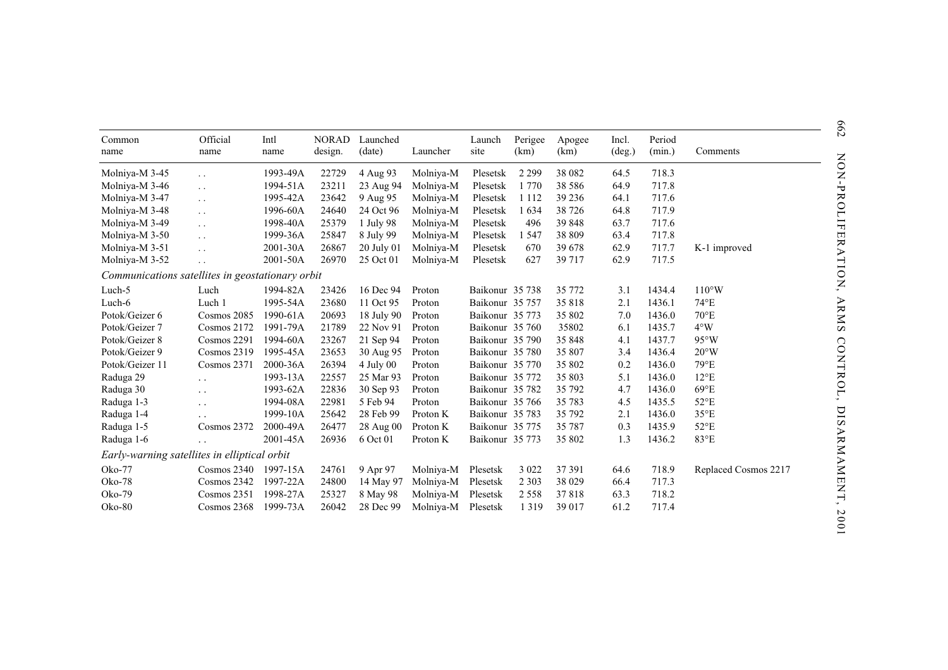| Common<br>name                                   | Official<br>name       | Intl<br>name | <b>NORAD</b><br>design. | Launched<br>(date) | Launcher  | Launch<br>site  | Perigee<br>(km) | Apogee<br>(km) | Incl.<br>$(\text{deg.})$ | Period<br>(min.) | Comments             |
|--------------------------------------------------|------------------------|--------------|-------------------------|--------------------|-----------|-----------------|-----------------|----------------|--------------------------|------------------|----------------------|
| Molniya-M 3-45                                   | $\ddot{\phantom{0}}$   | 1993-49A     | 22729                   | 4 Aug 93           | Molniya-M | Plesetsk        | 2 2 9 9         | 38 082         | 64.5                     | 718.3            |                      |
| Molniya-M 3-46                                   | $\ddot{\phantom{a}}$ . | 1994-51A     | 23211                   | 23 Aug 94          | Molniya-M | Plesetsk        | 1 7 7 0         | 38 5 8 6       | 64.9                     | 717.8            |                      |
| Molniya-M 3-47                                   | $\ddotsc$              | 1995-42A     | 23642                   | 9 Aug 95           | Molniya-M | Plesetsk        | 1 1 1 2         | 39 236         | 64.1                     | 717.6            |                      |
| Molniya-M 3-48                                   | $\ddot{\phantom{1}}$ . | 1996-60A     | 24640                   | 24 Oct 96          | Molniya-M | Plesetsk        | 1634            | 38 7 26        | 64.8                     | 717.9            |                      |
| Molniya-M 3-49                                   | $\ddot{\phantom{0}}$   | 1998-40A     | 25379                   | 1 July 98          | Molniya-M | Plesetsk        | 496             | 39 848         | 63.7                     | 717.6            |                      |
| Molniya-M 3-50                                   | $\ddot{\phantom{0}}$   | 1999-36A     | 25847                   | 8 July 99          | Molniya-M | Plesetsk        | 1 5 4 7         | 38 809         | 63.4                     | 717.8            |                      |
| Molniya-M 3-51                                   | $\ddot{\phantom{0}}$   | 2001-30A     | 26867                   | 20 July 01         | Molniya-M | Plesetsk        | 670             | 39 678         | 62.9                     | 717.7            | K-1 improved         |
| Molniya-M 3-52                                   | $\ddotsc$              | 2001-50A     | 26970                   | 25 Oct 01          | Molniya-M | Plesetsk        | 627             | 39 717         | 62.9                     | 717.5            |                      |
| Communications satellites in geostationary orbit |                        |              |                         |                    |           |                 |                 |                |                          |                  |                      |
| Luch-5                                           | Luch                   | 1994-82A     | 23426                   | 16 Dec 94          | Proton    | Baikonur 35 738 |                 | 35 772         | 3.1                      | 1434.4           | $110^{\circ}$ W      |
| Luch-6                                           | Luch 1                 | 1995-54A     | 23680                   | 11 Oct 95          | Proton    | Baikonur 35 757 |                 | 35 818         | 2.1                      | 1436.1           | $74^{\circ}E$        |
| Potok/Geizer 6                                   | Cosmos 2085            | 1990-61A     | 20693                   | 18 July 90         | Proton    | Baikonur 35 773 |                 | 35 802         | 7.0                      | 1436.0           | $70^{\circ}E$        |
| Potok/Geizer 7                                   | Cosmos 2172            | 1991-79A     | 21789                   | 22 Nov 91          | Proton    | Baikonur 35 760 |                 | 35802          | 6.1                      | 1435.7           | $4^{\circ}W$         |
| Potok/Geizer 8                                   | Cosmos 2291            | 1994-60A     | 23267                   | 21 Sep 94          | Proton    | Baikonur 35 790 |                 | 35 848         | 4.1                      | 1437.7           | $95^{\circ}$ W       |
| Potok/Geizer 9                                   | Cosmos 2319            | 1995-45A     | 23653                   | 30 Aug 95          | Proton    | Baikonur 35 780 |                 | 35 807         | 3.4                      | 1436.4           | $20^{\circ}$ W       |
| Potok/Geizer 11                                  | Cosmos 2371            | 2000-36A     | 26394                   | $4$ July 00        | Proton    | Baikonur 35 770 |                 | 35 802         | 0.2                      | 1436.0           | $79^{\circ}E$        |
| Raduga 29                                        | $\ddot{\phantom{0}}$   | 1993-13A     | 22557                   | 25 Mar 93          | Proton    | Baikonur 35 772 |                 | 35 803         | 5.1                      | 1436.0           | $12^{\circ}E$        |
| Raduga 30                                        | $\ddot{\phantom{0}}$   | 1993-62A     | 22836                   | 30 Sep 93          | Proton    | Baikonur 35 782 |                 | 35 792         | 4.7                      | 1436.0           | $69^{\circ}E$        |
| Raduga 1-3                                       | $\ddot{\phantom{0}}$   | 1994-08A     | 22981                   | 5 Feb 94           | Proton    | Baikonur 35 766 |                 | 35 783         | 4.5                      | 1435.5           | $52^{\circ}E$        |
| Raduga 1-4                                       |                        | 1999-10A     | 25642                   | 28 Feb 99          | Proton K  | Baikonur 35 783 |                 | 35 792         | 2.1                      | 1436.0           | $35^{\circ}E$        |
| Raduga 1-5                                       | Cosmos 2372            | 2000-49A     | 26477                   | 28 Aug 00          | Proton K  | Baikonur 35 775 |                 | 35 787         | 0.3                      | 1435.9           | $52^{\circ}E$        |
| Raduga 1-6                                       | $\ddot{\phantom{0}}$   | 2001-45A     | 26936                   | 6 Oct 01           | Proton K  | Baikonur 35 773 |                 | 35 802         | 1.3                      | 1436.2           | 83°E                 |
| Early-warning satellites in elliptical orbit     |                        |              |                         |                    |           |                 |                 |                |                          |                  |                      |
| Oko-77                                           | Cosmos 2340            | 1997-15A     | 24761                   | 9 Apr 97           | Molniya-M | Plesetsk        | 3 0 2 2         | 37 391         | 64.6                     | 718.9            | Replaced Cosmos 2217 |
| Oko-78                                           | Cosmos 2342            | 1997-22A     | 24800                   | 14 May 97          | Molniya-M | Plesetsk        | 2 3 0 3         | 38 0 29        | 66.4                     | 717.3            |                      |
| Oko-79                                           | Cosmos 2351            | 1998-27A     | 25327                   | 8 May 98           | Molniya-M | Plesetsk        | 2 5 5 8         | 37818          | 63.3                     | 718.2            |                      |
| Oko-80                                           | Cosmos 2368            | 1999-73A     | 26042                   | 28 Dec 99          | Molniya-M | Plesetsk        | 1 3 1 9         | 39 017         | 61.2                     | 717.4            |                      |
|                                                  |                        |              |                         |                    |           |                 |                 |                |                          |                  |                      |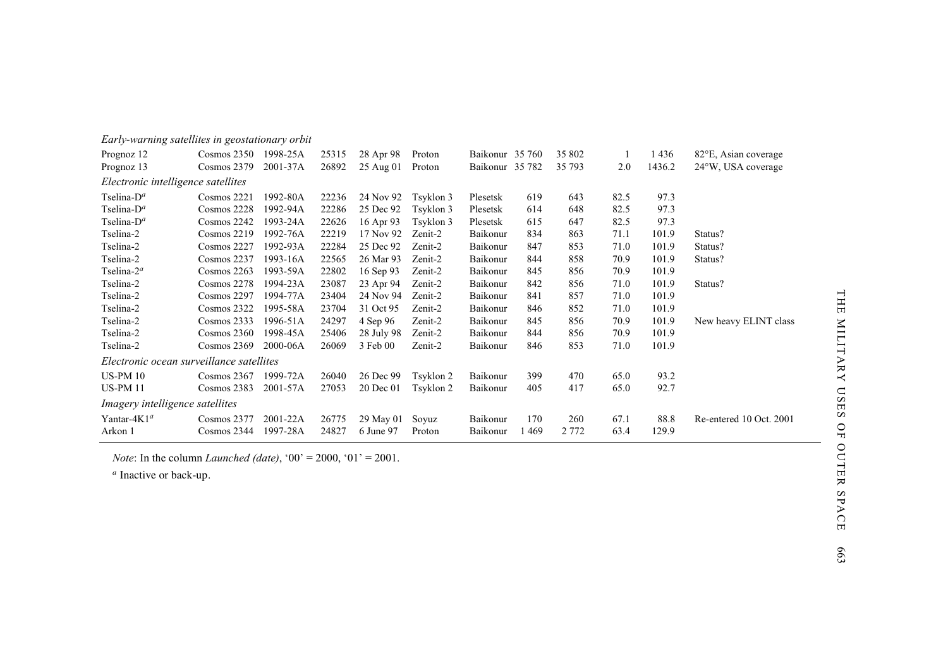| Early-warning satellites in geostationary orbit |               |          |       |            |           |                 |      |         |      |        |                         |
|-------------------------------------------------|---------------|----------|-------|------------|-----------|-----------------|------|---------|------|--------|-------------------------|
| Prognoz 12                                      | $Cosmos$ 2350 | 1998-25A | 25315 | 28 Apr 98  | Proton    | Baikonur 35 760 |      | 35 802  |      | 1436   | 82°E, Asian coverage    |
| Prognoz 13                                      | Cosmos 2379   | 2001-37A | 26892 | 25 Aug 01  | Proton    | Baikonur 35 782 |      | 35 793  | 2.0  | 1436.2 | 24°W, USA coverage      |
| Electronic intelligence satellites              |               |          |       |            |           |                 |      |         |      |        |                         |
| Tselina- $D^a$                                  | Cosmos 2221   | 1992-80A | 22236 | 24 Nov 92  | Tsyklon 3 | Plesetsk        | 619  | 643     | 82.5 | 97.3   |                         |
| Tselina- $D^a$                                  | Cosmos 2228   | 1992-94A | 22286 | 25 Dec 92  | Tsyklon 3 | Plesetsk        | 614  | 648     | 82.5 | 97.3   |                         |
| Tselina- $D^a$                                  | Cosmos 2242   | 1993-24A | 22626 | 16 Apr 93  | Tsyklon 3 | Plesetsk        | 615  | 647     | 82.5 | 97.3   |                         |
| Tselina-2                                       | Cosmos 2219   | 1992-76A | 22219 | 17 Nov 92  | Zenit-2   | Baikonur        | 834  | 863     | 71.1 | 101.9  | Status?                 |
| Tselina-2                                       | Cosmos 2227   | 1992-93A | 22284 | 25 Dec 92  | Zenit-2   | Baikonur        | 847  | 853     | 71.0 | 101.9  | Status?                 |
| Tselina-2                                       | Cosmos 2237   | 1993-16A | 22565 | 26 Mar 93  | Zenit-2   | Baikonur        | 844  | 858     | 70.9 | 101.9  | Status?                 |
| Tselina- $2^a$                                  | Cosmos 2263   | 1993-59A | 22802 | 16 Sep 93  | Zenit-2   | Baikonur        | 845  | 856     | 70.9 | 101.9  |                         |
| Tselina-2                                       | Cosmos 2278   | 1994-23A | 23087 | 23 Apr 94  | Zenit-2   | Baikonur        | 842  | 856     | 71.0 | 101.9  | Status?                 |
| Tselina-2                                       | Cosmos 2297   | 1994-77A | 23404 | 24 Nov 94  | Zenit-2   | Baikonur        | 841  | 857     | 71.0 | 101.9  |                         |
| Tselina-2                                       | Cosmos 2322   | 1995-58A | 23704 | 31 Oct 95  | Zenit-2   | Baikonur        | 846  | 852     | 71.0 | 101.9  |                         |
| Tselina-2                                       | Cosmos 2333   | 1996-51A | 24297 | 4 Sep 96   | Zenit-2   | Baikonur        | 845  | 856     | 70.9 | 101.9  | New heavy ELINT class   |
| Tselina-2                                       | Cosmos 2360   | 1998-45A | 25406 | 28 July 98 | Zenit-2   | Baikonur        | 844  | 856     | 70.9 | 101.9  |                         |
| Tselina-2                                       | Cosmos 2369   | 2000-06A | 26069 | 3 Feb 00   | Zenit-2   | Baikonur        | 846  | 853     | 71.0 | 101.9  |                         |
| Electronic ocean surveillance satellites        |               |          |       |            |           |                 |      |         |      |        |                         |
| <b>US-PM 10</b>                                 | Cosmos 2367   | 1999-72A | 26040 | 26 Dec 99  | Tsyklon 2 | Baikonur        | 399  | 470     | 65.0 | 93.2   |                         |
| <b>US-PM 11</b>                                 | Cosmos 2383   | 2001-57A | 27053 | 20 Dec 01  | Tsyklon 2 | Baikonur        | 405  | 417     | 65.0 | 92.7   |                         |
| Imagery intelligence satellites                 |               |          |       |            |           |                 |      |         |      |        |                         |
| Yantar-4K1 <sup>a</sup>                         | Cosmos 2377   | 2001-22A | 26775 | 29 May 01  | Soyuz     | Baikonur        | 170  | 260     | 67.1 | 88.8   | Re-entered 10 Oct. 2001 |
| Arkon 1                                         | Cosmos 2344   | 1997-28A | 24827 | 6 June 97  | Proton    | Baikonur        | 1469 | 2 7 7 2 | 63.4 | 129.9  |                         |

*Note*: In the column *Launched (date)*, '00' = 2000, '01' = 2001.

*a* Inactive or back-up.